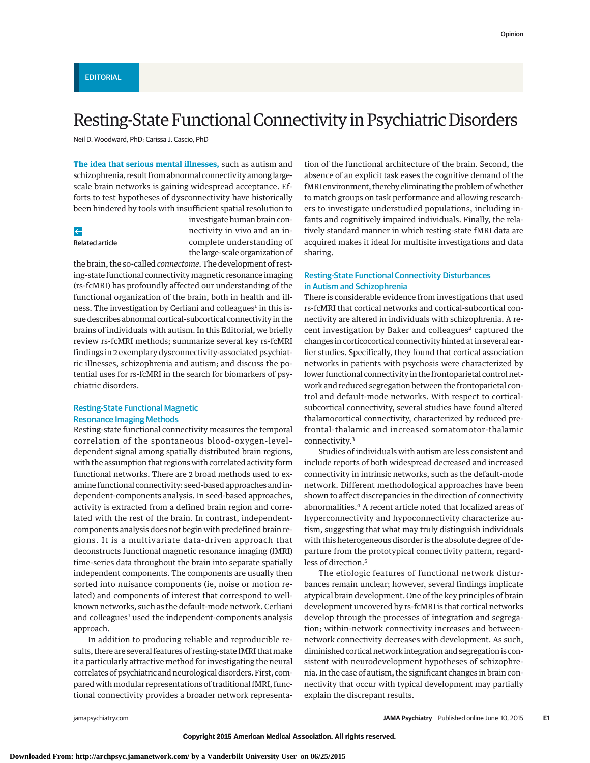# Resting-State Functional Connectivity in Psychiatric Disorders

Neil D. Woodward, PhD; Carissa J. Cascio, PhD

**The idea that serious mental illnesses,** such as autism and schizophrenia, result from abnormal connectivity among largescale brain networks is gaining widespread acceptance. Efforts to test hypotheses of dysconnectivity have historically been hindered by tools with insufficient spatial resolution to

## $\leftarrow$

Related article

investigate human brain connectivity in vivo and an incomplete understanding of the large-scale organization of

the brain, the so-called *connectome*. The development of resting-state functional connectivity magnetic resonance imaging (rs-fcMRI) has profoundly affected our understanding of the functional organization of the brain, both in health and illness. The investigation by Cerliani and colleagues<sup>1</sup> in this issue describes abnormal cortical-subcortical connectivity in the brains of individuals with autism. In this Editorial, we briefly review rs-fcMRI methods; summarize several key rs-fcMRI findings in 2 exemplary dysconnectivity-associated psychiatric illnesses, schizophrenia and autism; and discuss the potential uses for rs-fcMRI in the search for biomarkers of psychiatric disorders.

# Resting-State Functional Magnetic Resonance Imaging Methods

Resting-state functional connectivity measures the temporal correlation of the spontaneous blood-oxygen-level– dependent signal among spatially distributed brain regions, with the assumption that regions with correlated activity form functional networks. There are 2 broad methods used to examine functional connectivity: seed-based approaches and independent-components analysis. In seed-based approaches, activity is extracted from a defined brain region and correlated with the rest of the brain. In contrast, independentcomponents analysis does not begin with predefined brain regions. It is a multivariate data-driven approach that deconstructs functional magnetic resonance imaging (fMRI) time-series data throughout the brain into separate spatially independent components. The components are usually then sorted into nuisance components (ie, noise or motion related) and components of interest that correspond to wellknown networks, such as the default-mode network. Cerliani and colleagues<sup>1</sup> used the independent-components analysis approach.

In addition to producing reliable and reproducible results, there are several features of resting-state fMRI that make it a particularly attractive method for investigating the neural correlates of psychiatric and neurological disorders. First, compared with modular representations of traditional fMRI, functional connectivity provides a broader network representation of the functional architecture of the brain. Second, the absence of an explicit task eases the cognitive demand of the fMRI environment, thereby eliminating the problem of whether to match groups on task performance and allowing researchers to investigate understudied populations, including infants and cognitively impaired individuals. Finally, the relatively standard manner in which resting-state fMRI data are acquired makes it ideal for multisite investigations and data sharing.

## Resting-State Functional Connectivity Disturbances in Autism and Schizophrenia

There is considerable evidence from investigations that used rs-fcMRI that cortical networks and cortical-subcortical connectivity are altered in individuals with schizophrenia. A recent investigation by Baker and colleagues<sup>2</sup> captured the changes in corticocortical connectivity hinted at in several earlier studies. Specifically, they found that cortical association networks in patients with psychosis were characterized by lower functional connectivity in the frontoparietal control network and reduced segregation between the frontoparietal control and default-mode networks. With respect to corticalsubcortical connectivity, several studies have found altered thalamocortical connectivity, characterized by reduced prefrontal-thalamic and increased somatomotor-thalamic connectivity.<sup>3</sup>

Studies of individuals with autism are less consistent and include reports of both widespread decreased and increased connectivity in intrinsic networks, such as the default-mode network. Different methodological approaches have been shown to affect discrepancies in the direction of connectivity abnormalities.<sup>4</sup> A recent article noted that localized areas of hyperconnectivity and hypoconnectivity characterize autism, suggesting that what may truly distinguish individuals with this heterogeneous disorder is the absolute degree of departure from the prototypical connectivity pattern, regardless of direction.<sup>5</sup>

The etiologic features of functional network disturbances remain unclear; however, several findings implicate atypical brain development. One of the key principles of brain development uncovered by rs-fcMRI is that cortical networks develop through the processes of integration and segregation; within-network connectivity increases and betweennetwork connectivity decreases with development. As such, diminished cortical network integration and segregation is consistent with neurodevelopment hypotheses of schizophrenia. In the case of autism, the significant changes in brain connectivity that occur with typical development may partially explain the discrepant results.